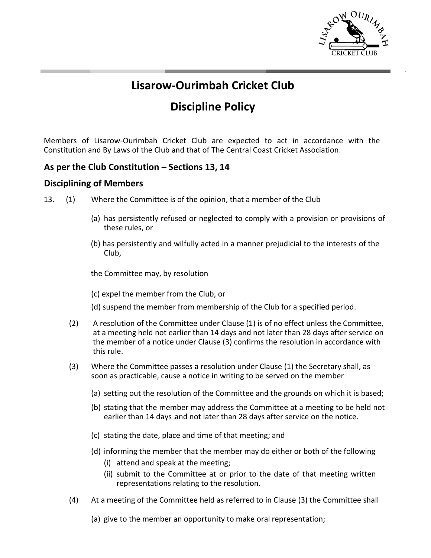

## **Lisarow-Ourimbah Cricket Club**

# **Discipline Policy**

Members of Lisarow-Ourimbah Cricket Club are expected to act in accordance with the Constitution and By Laws of the Club and that of The Central Coast Cricket Association.

### **As per the Club Constitution – Sections 13, 14**

#### **Disciplining of Members**

- 13. (1) Where the Committee is of the opinion, that a member of the Club
	- (a) has persistently refused or neglected to comply with a provision or provisions of these rules, or
	- (b) has persistently and wilfully acted in a manner prejudicial to the interests of the Club,

the Committee may, by resolution

- (c) expel the member from the Club, or
- (d) suspend the member from membership of the Club for a specified period.
- (2) A resolution of the Committee under Clause (1) is of no effect unless the Committee, at a meeting held not earlier than 14 days and not later than 28 days after service on the member of a notice under Clause (3) confirms the resolution in accordance with this rule.
- (3) Where the Committee passes a resolution under Clause (1) the Secretary shall, as soon as practicable, cause a notice in writing to be served on the member
	- (a) setting out the resolution of the Committee and the grounds on which it is based;
	- (b) stating that the member may address the Committee at a meeting to be held not earlier than 14 days and not later than 28 days after service on the notice.
	- (c) stating the date, place and time of that meeting; and
	- (d) informing the member that the member may do either or both of the following
		- (i) attend and speak at the meeting;
		- (ii) submit to the Committee at or prior to the date of that meeting written representations relating to the resolution.
- (4) At a meeting of the Committee held as referred to in Clause (3) the Committee shall
	- (a) give to the member an opportunity to make oral representation;